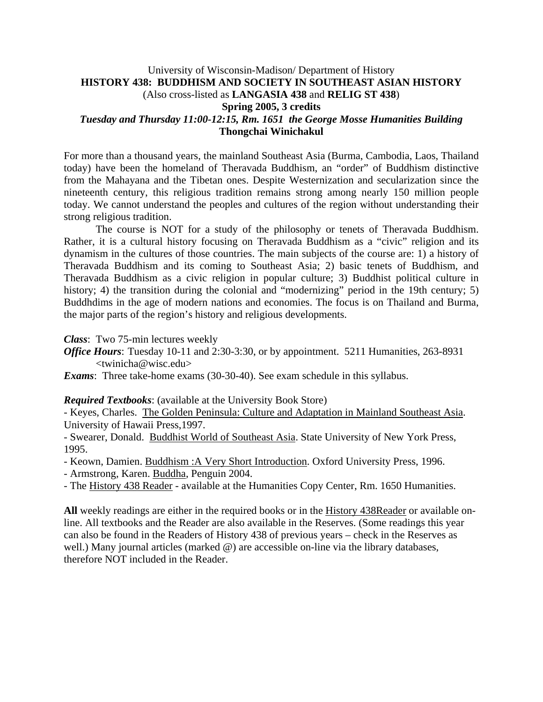### University of Wisconsin-Madison/ Department of History **HISTORY 438: BUDDHISM AND SOCIETY IN SOUTHEAST ASIAN HISTORY** (Also cross-listed as **LANGASIA 438** and **RELIG ST 438**) **Spring 2005, 3 credits**  *Tuesday and Thursday 11:00-12:15, Rm. 1651 the George Mosse Humanities Building* **Thongchai Winichakul**

For more than a thousand years, the mainland Southeast Asia (Burma, Cambodia, Laos, Thailand today) have been the homeland of Theravada Buddhism, an "order" of Buddhism distinctive from the Mahayana and the Tibetan ones. Despite Westernization and secularization since the nineteenth century, this religious tradition remains strong among nearly 150 million people today. We cannot understand the peoples and cultures of the region without understanding their strong religious tradition.

 The course is NOT for a study of the philosophy or tenets of Theravada Buddhism. Rather, it is a cultural history focusing on Theravada Buddhism as a "civic" religion and its dynamism in the cultures of those countries. The main subjects of the course are: 1) a history of Theravada Buddhism and its coming to Southeast Asia; 2) basic tenets of Buddhism, and Theravada Buddhism as a civic religion in popular culture; 3) Buddhist political culture in history; 4) the transition during the colonial and "modernizing" period in the 19th century; 5) Buddhdims in the age of modern nations and economies. The focus is on Thailand and Burma, the major parts of the region's history and religious developments.

*Class*: Two 75-min lectures weekly

*Office Hours*: Tuesday 10-11 and 2:30-3:30, or by appointment. 5211 Humanities, 263-8931 <twinicha@wisc.edu>

*Exams*: Three take-home exams (30-30-40). See exam schedule in this syllabus.

#### *Required Textbooks*: (available at the University Book Store)

- Keyes, Charles. The Golden Peninsula: Culture and Adaptation in Mainland Southeast Asia. University of Hawaii Press,1997.

- Swearer, Donald. Buddhist World of Southeast Asia. State University of New York Press, 1995.

- Keown, Damien. Buddhism :A Very Short Introduction. Oxford University Press, 1996.

- Armstrong, Karen. Buddha, Penguin 2004.

- The History 438 Reader - available at the Humanities Copy Center, Rm. 1650 Humanities.

**All** weekly readings are either in the required books or in the History 438Reader or available online. All textbooks and the Reader are also available in the Reserves. (Some readings this year can also be found in the Readers of History 438 of previous years – check in the Reserves as well.) Many journal articles (marked  $\omega$ ) are accessible on-line via the library databases, therefore NOT included in the Reader.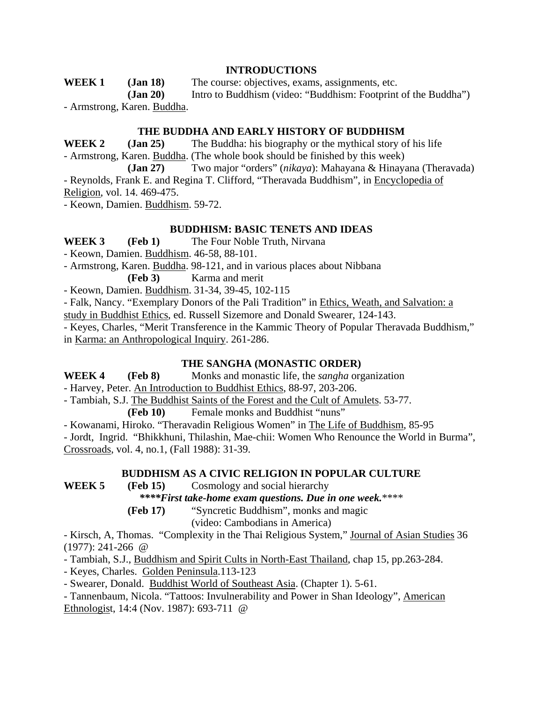#### **INTRODUCTIONS**

**WEEK 1 (Jan 18)** The course: objectives, exams, assignments, etc. **(Jan 20)** Intro to Buddhism (video: "Buddhism: Footprint of the Buddha") - Armstrong, Karen. Buddha.

#### **THE BUDDHA AND EARLY HISTORY OF BUDDHISM**

**WEEK 2 (Jan 25)** The Buddha: his biography or the mythical story of his life - Armstrong, Karen. Buddha. (The whole book should be finished by this week)

 **(Jan 27)** Two major "orders" (*nikaya*): Mahayana & Hinayana (Theravada) - Reynolds, Frank E. and Regina T. Clifford, "Theravada Buddhism", in Encyclopedia of

Religion, vol. 14. 469-475.

- Keown, Damien. Buddhism. 59-72.

#### **BUDDHISM: BASIC TENETS AND IDEAS**

**WEEK 3 (Feb 1)** The Four Noble Truth, Nirvana

- Keown, Damien. Buddhism. 46-58, 88-101.

- Armstrong, Karen. Buddha. 98-121, and in various places about Nibbana

**(Feb 3)** Karma and merit

- Keown, Damien. Buddhism. 31-34, 39-45, 102-115

- Falk, Nancy. "Exemplary Donors of the Pali Tradition" in Ethics, Weath, and Salvation: a

study in Buddhist Ethics, ed. Russell Sizemore and Donald Swearer, 124-143.

- Keyes, Charles, "Merit Transference in the Kammic Theory of Popular Theravada Buddhism," in Karma: an Anthropological Inquiry. 261-286.

#### **THE SANGHA (MONASTIC ORDER)**

**WEEK 4 (Feb 8)** Monks and monastic life, the *sangha* organization

- Harvey, Peter. An Introduction to Buddhist Ethics, 88-97, 203-206.

- Tambiah, S.J. The Buddhist Saints of the Forest and the Cult of Amulets. 53-77.

**(Feb 10)** Female monks and Buddhist "nuns"

- Kowanami, Hiroko. "Theravadin Religious Women" in The Life of Buddhism, 85-95

- Jordt, Ingrid. "Bhikkhuni, Thilashin, Mae-chii: Women Who Renounce the World in Burma", Crossroads, vol. 4, no.1, (Fall 1988): 31-39.

### **BUDDHISM AS A CIVIC RELIGION IN POPULAR CULTURE**

**WEEK 5 (Feb 15)** Cosmology and social hierarchy

*\*\*\*\*First take-home exam questions. Due in one week.*\*\*\*\*

**(Feb 17)** "Syncretic Buddhism", monks and magic

(video: Cambodians in America)

- Kirsch, A, Thomas. "Complexity in the Thai Religious System," Journal of Asian Studies 36 (1977): 241-266 @

- Tambiah, S.J., Buddhism and Spirit Cults in North-East Thailand, chap 15, pp.263-284.

- Keyes, Charles. Golden Peninsula.113-123

- Swearer, Donald. Buddhist World of Southeast Asia. (Chapter 1). 5-61.

- Tannenbaum, Nicola. "Tattoos: Invulnerability and Power in Shan Ideology", American Ethnologist, 14:4 (Nov. 1987): 693-711 @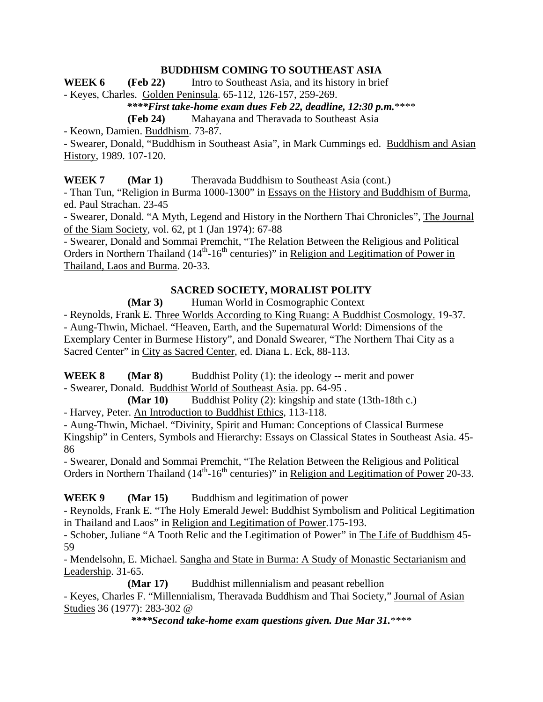### **BUDDHISM COMING TO SOUTHEAST ASIA**

**WEEK 6** (Feb 22) Intro to Southeast Asia, and its history in brief

- Keyes, Charles. Golden Peninsula. 65-112, 126-157, 259-269.

### *\*\*\*\*First take-home exam dues Feb 22, deadline, 12:30 p.m.*\*\*\*\*

**(Feb 24)** Mahayana and Theravada to Southeast Asia

- Keown, Damien. Buddhism. 73-87.

- Swearer, Donald, "Buddhism in Southeast Asia", in Mark Cummings ed. Buddhism and Asian History, 1989. 107-120.

#### **WEEK 7 (Mar 1)** Theravada Buddhism to Southeast Asia (cont.)

- Than Tun, "Religion in Burma 1000-1300" in Essays on the History and Buddhism of Burma, ed. Paul Strachan. 23-45

- Swearer, Donald. "A Myth, Legend and History in the Northern Thai Chronicles", The Journal of the Siam Society, vol. 62, pt 1 (Jan 1974): 67-88

- Swearer, Donald and Sommai Premchit, "The Relation Between the Religious and Political Orders in Northern Thailand  $(14<sup>th</sup>-16<sup>th</sup>$  centuries)" in Religion and Legitimation of Power in Thailand, Laos and Burma. 20-33.

### **SACRED SOCIETY, MORALIST POLITY**

#### **(Mar 3)** Human World in Cosmographic Context

- Reynolds, Frank E. Three Worlds According to King Ruang: A Buddhist Cosmology. 19-37. - Aung-Thwin, Michael. "Heaven, Earth, and the Supernatural World: Dimensions of the Exemplary Center in Burmese History", and Donald Swearer, "The Northern Thai City as a Sacred Center" in City as Sacred Center, ed. Diana L. Eck, 88-113.

**WEEK 8 (Mar 8)** Buddhist Polity (1): the ideology -- merit and power - Swearer, Donald. Buddhist World of Southeast Asia. pp. 64-95 .

 **(Mar 10)** Buddhist Polity (2): kingship and state (13th-18th c.) - Harvey, Peter. An Introduction to Buddhist Ethics, 113-118.

- Aung-Thwin, Michael. "Divinity, Spirit and Human: Conceptions of Classical Burmese Kingship" in Centers, Symbols and Hierarchy: Essays on Classical States in Southeast Asia. 45- 86

- Swearer, Donald and Sommai Premchit, "The Relation Between the Religious and Political Orders in Northern Thailand (14<sup>th</sup>-16<sup>th</sup> centuries)" in Religion and Legitimation of Power 20-33.

### **WEEK 9 (Mar 15)** Buddhism and legitimation of power

- Reynolds, Frank E. "The Holy Emerald Jewel: Buddhist Symbolism and Political Legitimation in Thailand and Laos" in Religion and Legitimation of Power.175-193.

- Schober, Juliane "A Tooth Relic and the Legitimation of Power" in The Life of Buddhism 45- 59

- Mendelsohn, E. Michael. Sangha and State in Burma: A Study of Monastic Sectarianism and Leadership. 31-65.

**(Mar 17)** Buddhist millennialism and peasant rebellion

- Keyes, Charles F. "Millennialism, Theravada Buddhism and Thai Society," Journal of Asian Studies 36 (1977): 283-302 @

*\*\*\*\*Second take-home exam questions given. Due Mar 31.*\*\*\*\*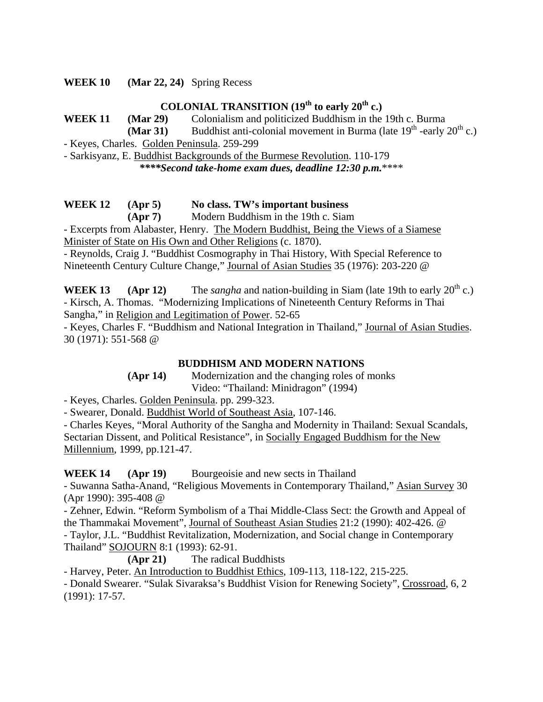**WEEK 10 (Mar 22, 24)** Spring Recess

# **COLONIAL TRANSITION (19th to early 20th c.)**

**WEEK 11 (Mar 29)** Colonialism and politicized Buddhism in the 19th c. Burma

**(Mar 31)** Buddhist anti-colonial movement in Burma (late  $19<sup>th</sup>$  -early  $20<sup>th</sup>$  c.)

- Keyes, Charles. Golden Peninsula. 259-299

- Sarkisyanz, E. Buddhist Backgrounds of the Burmese Revolution. 110-179

*\*\*\*\*Second take-home exam dues, deadline 12:30 p.m.*\*\*\*\*

## **WEEK 12 (Apr 5) No class. TW's important business**

 **(Apr 7)** Modern Buddhism in the 19th c. Siam

- Excerpts from Alabaster, Henry. The Modern Buddhist, Being the Views of a Siamese Minister of State on His Own and Other Religions (c. 1870).

- Reynolds, Craig J. "Buddhist Cosmography in Thai History, With Special Reference to Nineteenth Century Culture Change," Journal of Asian Studies 35 (1976): 203-220 @

**WEEK 13 (Apr 12)** The *sangha* and nation-building in Siam (late 19th to early  $20^{\text{th}}$  c.) - Kirsch, A. Thomas. "Modernizing Implications of Nineteenth Century Reforms in Thai Sangha," in Religion and Legitimation of Power. 52-65

- Keyes, Charles F. "Buddhism and National Integration in Thailand," Journal of Asian Studies. 30 (1971): 551-568 @

## **BUDDHISM AND MODERN NATIONS**

 **(Apr 14)** Modernization and the changing roles of monks Video: "Thailand: Minidragon" (1994)

- Keyes, Charles. Golden Peninsula. pp. 299-323.

- Swearer, Donald. Buddhist World of Southeast Asia, 107-146.

- Charles Keyes, "Moral Authority of the Sangha and Modernity in Thailand: Sexual Scandals, Sectarian Dissent, and Political Resistance", in Socially Engaged Buddhism for the New Millennium, 1999, pp.121-47.

**WEEK 14 (Apr 19)** Bourgeoisie and new sects in Thailand

- Suwanna Satha-Anand, "Religious Movements in Contemporary Thailand," Asian Survey 30 (Apr 1990): 395-408 @

- Zehner, Edwin. "Reform Symbolism of a Thai Middle-Class Sect: the Growth and Appeal of the Thammakai Movement", Journal of Southeast Asian Studies 21:2 (1990): 402-426. @

- Taylor, J.L. "Buddhist Revitalization, Modernization, and Social change in Contemporary Thailand" SOJOURN 8:1 (1993): 62-91.

**(Apr 21)** The radical Buddhists

- Harvey, Peter. An Introduction to Buddhist Ethics, 109-113, 118-122, 215-225.

- Donald Swearer. "Sulak Sivaraksa's Buddhist Vision for Renewing Society", Crossroad, 6, 2 (1991): 17-57.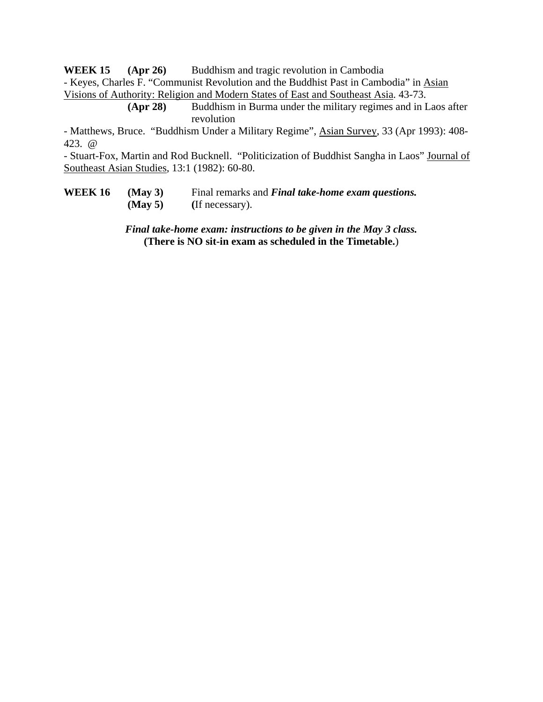**WEEK 15 (Apr 26)** Buddhism and tragic revolution in Cambodia

- Keyes, Charles F. "Communist Revolution and the Buddhist Past in Cambodia" in Asian Visions of Authority: Religion and Modern States of East and Southeast Asia. 43-73.

> **(Apr 28)** Buddhism in Burma under the military regimes and in Laos after revolution

- Matthews, Bruce. "Buddhism Under a Military Regime", Asian Survey, 33 (Apr 1993): 408- 423. @

- Stuart-Fox, Martin and Rod Bucknell. "Politicization of Buddhist Sangha in Laos" Journal of Southeast Asian Studies, 13:1 (1982): 60-80.

**WEEK 16 (May 3)** Final remarks and *Final take-home exam questions.*  **(May 5) (**If necessary).

> *Final take-home exam: instructions to be given in the May 3 class.* **(There is NO sit-in exam as scheduled in the Timetable.**)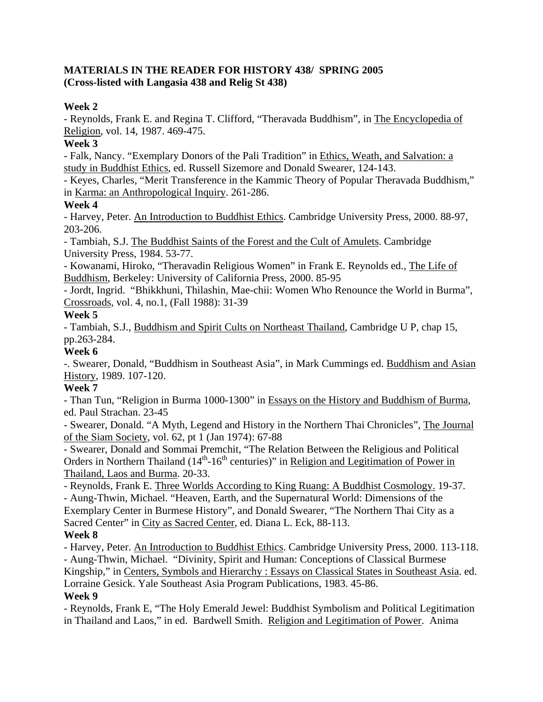### **MATERIALS IN THE READER FOR HISTORY 438/ SPRING 2005 (Cross-listed with Langasia 438 and Relig St 438)**

### **Week 2**

- Reynolds, Frank E. and Regina T. Clifford, "Theravada Buddhism", in The Encyclopedia of Religion, vol. 14, 1987. 469-475.

### **Week 3**

- Falk, Nancy. "Exemplary Donors of the Pali Tradition" in Ethics, Weath, and Salvation: a study in Buddhist Ethics, ed. Russell Sizemore and Donald Swearer, 124-143.

- Keyes, Charles, "Merit Transference in the Kammic Theory of Popular Theravada Buddhism," in Karma: an Anthropological Inquiry. 261-286.

### **Week 4**

- Harvey, Peter. An Introduction to Buddhist Ethics. Cambridge University Press, 2000. 88-97, 203-206.

- Tambiah, S.J. The Buddhist Saints of the Forest and the Cult of Amulets. Cambridge University Press, 1984. 53-77.

- Kowanami, Hiroko, "Theravadin Religious Women" in Frank E. Reynolds ed., The Life of Buddhism, Berkeley: University of California Press, 2000. 85-95

- Jordt, Ingrid. "Bhikkhuni, Thilashin, Mae-chii: Women Who Renounce the World in Burma", Crossroads, vol. 4, no.1, (Fall 1988): 31-39

### **Week 5**

- Tambiah, S.J., Buddhism and Spirit Cults on Northeast Thailand, Cambridge U P, chap 15, pp.263-284.

### **Week 6**

-. Swearer, Donald, "Buddhism in Southeast Asia", in Mark Cummings ed. Buddhism and Asian History, 1989. 107-120.

## **Week 7**

- Than Tun, "Religion in Burma 1000-1300" in Essays on the History and Buddhism of Burma, ed. Paul Strachan. 23-45

- Swearer, Donald. "A Myth, Legend and History in the Northern Thai Chronicles", The Journal of the Siam Society, vol. 62, pt 1 (Jan 1974): 67-88

- Swearer, Donald and Sommai Premchit, "The Relation Between the Religious and Political Orders in Northern Thailand  $(14<sup>th</sup>-16<sup>th</sup>$  centuries)" in Religion and Legitimation of Power in Thailand, Laos and Burma. 20-33.

- Reynolds, Frank E. Three Worlds According to King Ruang: A Buddhist Cosmology. 19-37. - Aung-Thwin, Michael. "Heaven, Earth, and the Supernatural World: Dimensions of the Exemplary Center in Burmese History", and Donald Swearer, "The Northern Thai City as a Sacred Center" in City as Sacred Center, ed. Diana L. Eck, 88-113.

## **Week 8**

- Harvey, Peter. An Introduction to Buddhist Ethics. Cambridge University Press, 2000. 113-118. - Aung-Thwin, Michael. "Divinity, Spirit and Human: Conceptions of Classical Burmese Kingship," in Centers, Symbols and Hierarchy : Essays on Classical States in Southeast Asia. ed. Lorraine Gesick. Yale Southeast Asia Program Publications, 1983. 45-86. **Week 9**

- Reynolds, Frank E, "The Holy Emerald Jewel: Buddhist Symbolism and Political Legitimation in Thailand and Laos," in ed. Bardwell Smith. Religion and Legitimation of Power. Anima